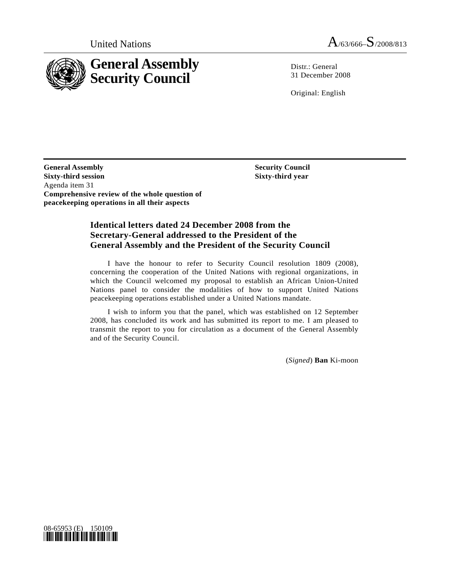

Distr.: General 31 December 2008

Original: English

**General Assembly Sixty-third session**  Agenda item 31 **Comprehensive review of the whole question of peacekeeping operations in all their aspects** 

 **Security Council Sixty-third year** 

### **Identical letters dated 24 December 2008 from the Secretary-General addressed to the President of the General Assembly and the President of the Security Council**

 I have the honour to refer to Security Council resolution 1809 (2008), concerning the cooperation of the United Nations with regional organizations, in which the Council welcomed my proposal to establish an African Union-United Nations panel to consider the modalities of how to support United Nations peacekeeping operations established under a United Nations mandate.

 I wish to inform you that the panel, which was established on 12 September 2008, has concluded its work and has submitted its report to me. I am pleased to transmit the report to you for circulation as a document of the General Assembly and of the Security Council.

(*Signed*) **Ban** Ki-moon

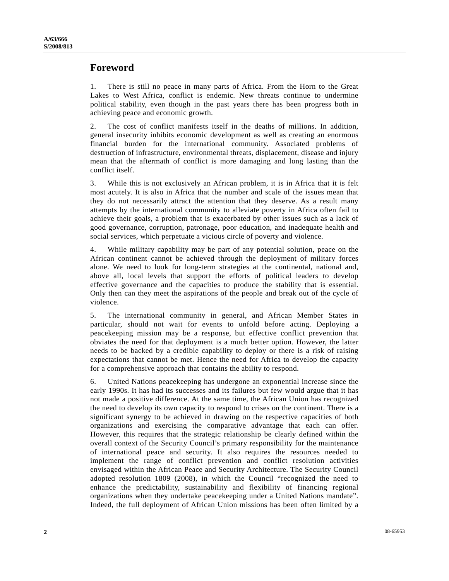## **Foreword**

1. There is still no peace in many parts of Africa. From the Horn to the Great Lakes to West Africa, conflict is endemic. New threats continue to undermine political stability, even though in the past years there has been progress both in achieving peace and economic growth.

2. The cost of conflict manifests itself in the deaths of millions. In addition, general insecurity inhibits economic development as well as creating an enormous financial burden for the international community. Associated problems of destruction of infrastructure, environmental threats, displacement, disease and injury mean that the aftermath of conflict is more damaging and long lasting than the conflict itself.

3. While this is not exclusively an African problem, it is in Africa that it is felt most acutely. It is also in Africa that the number and scale of the issues mean that they do not necessarily attract the attention that they deserve. As a result many attempts by the international community to alleviate poverty in Africa often fail to achieve their goals, a problem that is exacerbated by other issues such as a lack of good governance, corruption, patronage, poor education, and inadequate health and social services, which perpetuate a vicious circle of poverty and violence.

4. While military capability may be part of any potential solution, peace on the African continent cannot be achieved through the deployment of military forces alone. We need to look for long-term strategies at the continental, national and, above all, local levels that support the efforts of political leaders to develop effective governance and the capacities to produce the stability that is essential. Only then can they meet the aspirations of the people and break out of the cycle of violence.

5. The international community in general, and African Member States in particular, should not wait for events to unfold before acting. Deploying a peacekeeping mission may be a response, but effective conflict prevention that obviates the need for that deployment is a much better option. However, the latter needs to be backed by a credible capability to deploy or there is a risk of raising expectations that cannot be met. Hence the need for Africa to develop the capacity for a comprehensive approach that contains the ability to respond.

6. United Nations peacekeeping has undergone an exponential increase since the early 1990s. It has had its successes and its failures but few would argue that it has not made a positive difference. At the same time, the African Union has recognized the need to develop its own capacity to respond to crises on the continent. There is a significant synergy to be achieved in drawing on the respective capacities of both organizations and exercising the comparative advantage that each can offer. However, this requires that the strategic relationship be clearly defined within the overall context of the Security Council's primary responsibility for the maintenance of international peace and security. It also requires the resources needed to implement the range of conflict prevention and conflict resolution activities envisaged within the African Peace and Security Architecture. The Security Council adopted resolution 1809 (2008), in which the Council "recognized the need to enhance the predictability, sustainability and flexibility of financing regional organizations when they undertake peacekeeping under a United Nations mandate". Indeed, the full deployment of African Union missions has been often limited by a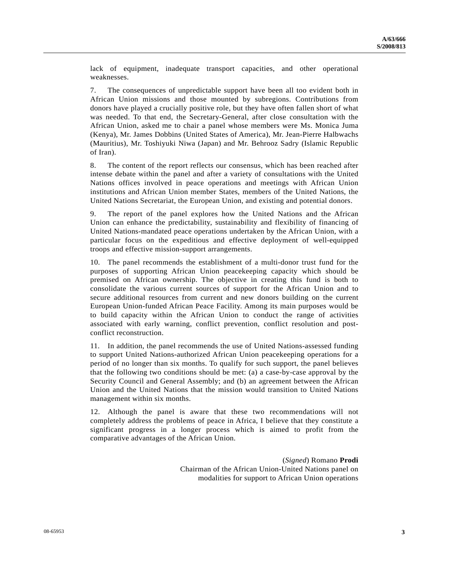lack of equipment, inadequate transport capacities, and other operational weaknesses.

7. The consequences of unpredictable support have been all too evident both in African Union missions and those mounted by subregions. Contributions from donors have played a crucially positive role, but they have often fallen short of what was needed. To that end, the Secretary-General, after close consultation with the African Union, asked me to chair a panel whose members were Ms. Monica Juma (Kenya), Mr. James Dobbins (United States of America), Mr. Jean-Pierre Halbwachs (Mauritius), Mr. Toshiyuki Niwa (Japan) and Mr. Behrooz Sadry (Islamic Republic of Iran).

8. The content of the report reflects our consensus, which has been reached after intense debate within the panel and after a variety of consultations with the United Nations offices involved in peace operations and meetings with African Union institutions and African Union member States, members of the United Nations, the United Nations Secretariat, the European Union, and existing and potential donors.

9. The report of the panel explores how the United Nations and the African Union can enhance the predictability, sustainability and flexibility of financing of United Nations-mandated peace operations undertaken by the African Union, with a particular focus on the expeditious and effective deployment of well-equipped troops and effective mission-support arrangements.

10. The panel recommends the establishment of a multi-donor trust fund for the purposes of supporting African Union peacekeeping capacity which should be premised on African ownership. The objective in creating this fund is both to consolidate the various current sources of support for the African Union and to secure additional resources from current and new donors building on the current European Union-funded African Peace Facility. Among its main purposes would be to build capacity within the African Union to conduct the range of activities associated with early warning, conflict prevention, conflict resolution and postconflict reconstruction.

11. In addition, the panel recommends the use of United Nations-assessed funding to support United Nations-authorized African Union peacekeeping operations for a period of no longer than six months. To qualify for such support, the panel believes that the following two conditions should be met: (a) a case-by-case approval by the Security Council and General Assembly; and (b) an agreement between the African Union and the United Nations that the mission would transition to United Nations management within six months.

12. Although the panel is aware that these two recommendations will not completely address the problems of peace in Africa, I believe that they constitute a significant progress in a longer process which is aimed to profit from the comparative advantages of the African Union.

> (*Signed*) Romano **Prodi**  Chairman of the African Union-United Nations panel on modalities for support to African Union operations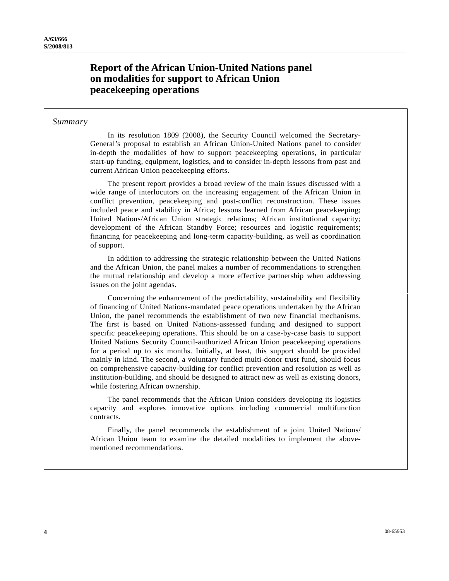# **Report of the African Union-United Nations panel on modalities for support to African Union peacekeeping operations**

### *Summary*

 In its resolution 1809 (2008), the Security Council welcomed the Secretary-General's proposal to establish an African Union-United Nations panel to consider in-depth the modalities of how to support peacekeeping operations, in particular start-up funding, equipment, logistics, and to consider in-depth lessons from past and current African Union peacekeeping efforts.

 The present report provides a broad review of the main issues discussed with a wide range of interlocutors on the increasing engagement of the African Union in conflict prevention, peacekeeping and post-conflict reconstruction. These issues included peace and stability in Africa; lessons learned from African peacekeeping; United Nations/African Union strategic relations; African institutional capacity; development of the African Standby Force; resources and logistic requirements; financing for peacekeeping and long-term capacity-building, as well as coordination of support.

 In addition to addressing the strategic relationship between the United Nations and the African Union, the panel makes a number of recommendations to strengthen the mutual relationship and develop a more effective partnership when addressing issues on the joint agendas.

 Concerning the enhancement of the predictability, sustainability and flexibility of financing of United Nations-mandated peace operations undertaken by the African Union, the panel recommends the establishment of two new financial mechanisms. The first is based on United Nations-assessed funding and designed to support specific peacekeeping operations. This should be on a case-by-case basis to support United Nations Security Council-authorized African Union peacekeeping operations for a period up to six months. Initially, at least, this support should be provided mainly in kind. The second, a voluntary funded multi-donor trust fund, should focus on comprehensive capacity-building for conflict prevention and resolution as well as institution-building, and should be designed to attract new as well as existing donors, while fostering African ownership.

 The panel recommends that the African Union considers developing its logistics capacity and explores innovative options including commercial multifunction contracts.

 Finally, the panel recommends the establishment of a joint United Nations/ African Union team to examine the detailed modalities to implement the abovementioned recommendations.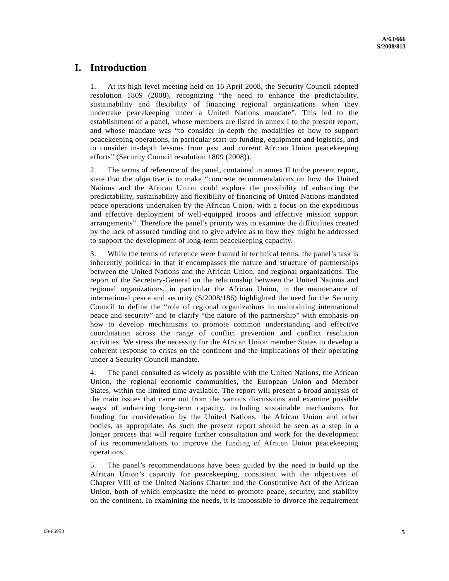## **I. Introduction**

1. At its high-level meeting held on 16 April 2008, the Security Council adopted resolution 1809 (2008), recognizing "the need to enhance the predictability, sustainability and flexibility of financing regional organizations when they undertake peacekeeping under a United Nations mandate". This led to the establishment of a panel, whose members are listed in annex I to the present report, and whose mandate was "to consider in-depth the modalities of how to support peacekeeping operations, in particular start-up funding, equipment and logistics, and to consider in-depth lessons from past and current African Union peacekeeping efforts" (Security Council resolution 1809 (2008)).

2. The terms of reference of the panel, contained in annex II to the present report, state that the objective is to make "concrete recommendations on how the United Nations and the African Union could explore the possibility of enhancing the predictability, sustainability and flexibility of financing of United Nations-mandated peace operations undertaken by the African Union, with a focus on the expeditious and effective deployment of well-equipped troops and effective mission support arrangements". Therefore the panel's priority was to examine the difficulties created by the lack of assured funding and to give advice as to how they might be addressed to support the development of long-term peacekeeping capacity.

3. While the terms of reference were framed in technical terms, the panel's task is inherently political in that it encompasses the nature and structure of partnerships between the United Nations and the African Union, and regional organizations. The report of the Secretary-General on the relationship between the United Nations and regional organizations, in particular the African Union, in the maintenance of international peace and security (S/2008/186) highlighted the need for the Security Council to define the "role of regional organizations in maintaining international peace and security" and to clarify "the nature of the partnership" with emphasis on how to develop mechanisms to promote common understanding and effective coordination across the range of conflict prevention and conflict resolution activities. We stress the necessity for the African Union member States to develop a coherent response to crises on the continent and the implications of their operating under a Security Council mandate.

4. The panel consulted as widely as possible with the United Nations, the African Union, the regional economic communities, the European Union and Member States, within the limited time available. The report will present a broad analysis of the main issues that came out from the various discussions and examine possible ways of enhancing long-term capacity, including sustainable mechanisms for funding for consideration by the United Nations, the African Union and other bodies, as appropriate. As such the present report should be seen as a step in a longer process that will require further consultation and work for the development of its recommendations to improve the funding of African Union peacekeeping operations.

5. The panel's recommendations have been guided by the need to build up the African Union's capacity for peacekeeping, consistent with the objectives of Chapter VIII of the United Nations Charter and the Constitutive Act of the African Union, both of which emphasize the need to promote peace, security, and stability on the continent. In examining the needs, it is impossible to divorce the requirement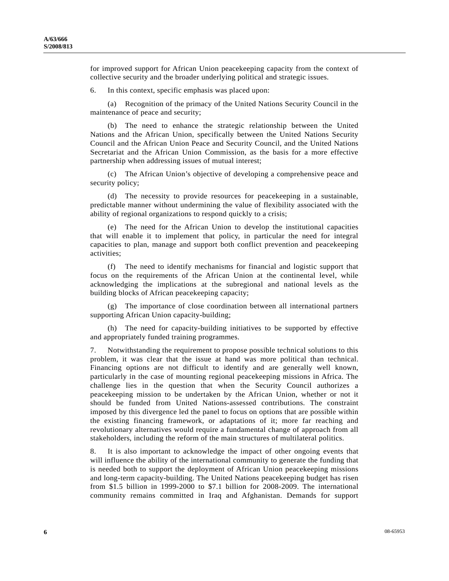for improved support for African Union peacekeeping capacity from the context of collective security and the broader underlying political and strategic issues.

6. In this context, specific emphasis was placed upon:

 (a) Recognition of the primacy of the United Nations Security Council in the maintenance of peace and security;

 (b) The need to enhance the strategic relationship between the United Nations and the African Union, specifically between the United Nations Security Council and the African Union Peace and Security Council, and the United Nations Secretariat and the African Union Commission, as the basis for a more effective partnership when addressing issues of mutual interest;

 (c) The African Union's objective of developing a comprehensive peace and security policy;

 (d) The necessity to provide resources for peacekeeping in a sustainable, predictable manner without undermining the value of flexibility associated with the ability of regional organizations to respond quickly to a crisis;

 (e) The need for the African Union to develop the institutional capacities that will enable it to implement that policy, in particular the need for integral capacities to plan, manage and support both conflict prevention and peacekeeping activities;

 (f) The need to identify mechanisms for financial and logistic support that focus on the requirements of the African Union at the continental level, while acknowledging the implications at the subregional and national levels as the building blocks of African peacekeeping capacity;

 (g) The importance of close coordination between all international partners supporting African Union capacity-building;

 (h) The need for capacity-building initiatives to be supported by effective and appropriately funded training programmes.

7. Notwithstanding the requirement to propose possible technical solutions to this problem, it was clear that the issue at hand was more political than technical. Financing options are not difficult to identify and are generally well known, particularly in the case of mounting regional peacekeeping missions in Africa. The challenge lies in the question that when the Security Council authorizes a peacekeeping mission to be undertaken by the African Union, whether or not it should be funded from United Nations-assessed contributions. The constraint imposed by this divergence led the panel to focus on options that are possible within the existing financing framework, or adaptations of it; more far reaching and revolutionary alternatives would require a fundamental change of approach from all stakeholders, including the reform of the main structures of multilateral politics.

8. It is also important to acknowledge the impact of other ongoing events that will influence the ability of the international community to generate the funding that is needed both to support the deployment of African Union peacekeeping missions and long-term capacity-building. The United Nations peacekeeping budget has risen from \$1.5 billion in 1999-2000 to \$7.1 billion for 2008-2009. The international community remains committed in Iraq and Afghanistan. Demands for support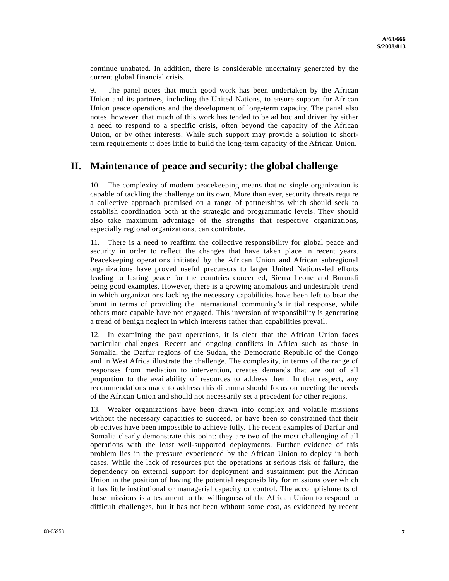continue unabated. In addition, there is considerable uncertainty generated by the current global financial crisis.

9. The panel notes that much good work has been undertaken by the African Union and its partners, including the United Nations, to ensure support for African Union peace operations and the development of long-term capacity. The panel also notes, however, that much of this work has tended to be ad hoc and driven by either a need to respond to a specific crisis, often beyond the capacity of the African Union, or by other interests. While such support may provide a solution to shortterm requirements it does little to build the long-term capacity of the African Union.

### **II. Maintenance of peace and security: the global challenge**

10. The complexity of modern peacekeeping means that no single organization is capable of tackling the challenge on its own. More than ever, security threats require a collective approach premised on a range of partnerships which should seek to establish coordination both at the strategic and programmatic levels. They should also take maximum advantage of the strengths that respective organizations, especially regional organizations, can contribute.

11. There is a need to reaffirm the collective responsibility for global peace and security in order to reflect the changes that have taken place in recent years. Peacekeeping operations initiated by the African Union and African subregional organizations have proved useful precursors to larger United Nations-led efforts leading to lasting peace for the countries concerned, Sierra Leone and Burundi being good examples. However, there is a growing anomalous and undesirable trend in which organizations lacking the necessary capabilities have been left to bear the brunt in terms of providing the international community's initial response, while others more capable have not engaged. This inversion of responsibility is generating a trend of benign neglect in which interests rather than capabilities prevail.

12. In examining the past operations, it is clear that the African Union faces particular challenges. Recent and ongoing conflicts in Africa such as those in Somalia, the Darfur regions of the Sudan, the Democratic Republic of the Congo and in West Africa illustrate the challenge. The complexity, in terms of the range of responses from mediation to intervention, creates demands that are out of all proportion to the availability of resources to address them. In that respect, any recommendations made to address this dilemma should focus on meeting the needs of the African Union and should not necessarily set a precedent for other regions.

13. Weaker organizations have been drawn into complex and volatile missions without the necessary capacities to succeed, or have been so constrained that their objectives have been impossible to achieve fully. The recent examples of Darfur and Somalia clearly demonstrate this point: they are two of the most challenging of all operations with the least well-supported deployments. Further evidence of this problem lies in the pressure experienced by the African Union to deploy in both cases. While the lack of resources put the operations at serious risk of failure, the dependency on external support for deployment and sustainment put the African Union in the position of having the potential responsibility for missions over which it has little institutional or managerial capacity or control. The accomplishments of these missions is a testament to the willingness of the African Union to respond to difficult challenges, but it has not been without some cost, as evidenced by recent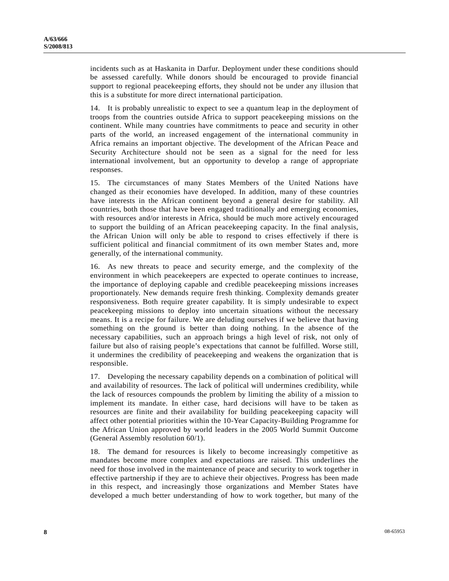incidents such as at Haskanita in Darfur. Deployment under these conditions should be assessed carefully. While donors should be encouraged to provide financial support to regional peacekeeping efforts, they should not be under any illusion that this is a substitute for more direct international participation.

14. It is probably unrealistic to expect to see a quantum leap in the deployment of troops from the countries outside Africa to support peacekeeping missions on the continent. While many countries have commitments to peace and security in other parts of the world, an increased engagement of the international community in Africa remains an important objective. The development of the African Peace and Security Architecture should not be seen as a signal for the need for less international involvement, but an opportunity to develop a range of appropriate responses.

15. The circumstances of many States Members of the United Nations have changed as their economies have developed. In addition, many of these countries have interests in the African continent beyond a general desire for stability. All countries, both those that have been engaged traditionally and emerging economies, with resources and/or interests in Africa, should be much more actively encouraged to support the building of an African peacekeeping capacity. In the final analysis, the African Union will only be able to respond to crises effectively if there is sufficient political and financial commitment of its own member States and, more generally, of the international community.

16. As new threats to peace and security emerge, and the complexity of the environment in which peacekeepers are expected to operate continues to increase, the importance of deploying capable and credible peacekeeping missions increases proportionately. New demands require fresh thinking. Complexity demands greater responsiveness. Both require greater capability. It is simply undesirable to expect peacekeeping missions to deploy into uncertain situations without the necessary means. It is a recipe for failure. We are deluding ourselves if we believe that having something on the ground is better than doing nothing. In the absence of the necessary capabilities, such an approach brings a high level of risk, not only of failure but also of raising people's expectations that cannot be fulfilled. Worse still, it undermines the credibility of peacekeeping and weakens the organization that is responsible.

17. Developing the necessary capability depends on a combination of political will and availability of resources. The lack of political will undermines credibility, while the lack of resources compounds the problem by limiting the ability of a mission to implement its mandate. In either case, hard decisions will have to be taken as resources are finite and their availability for building peacekeeping capacity will affect other potential priorities within the 10-Year Capacity-Building Programme for the African Union approved by world leaders in the 2005 World Summit Outcome (General Assembly resolution 60/1).

18. The demand for resources is likely to become increasingly competitive as mandates become more complex and expectations are raised. This underlines the need for those involved in the maintenance of peace and security to work together in effective partnership if they are to achieve their objectives. Progress has been made in this respect, and increasingly those organizations and Member States have developed a much better understanding of how to work together, but many of the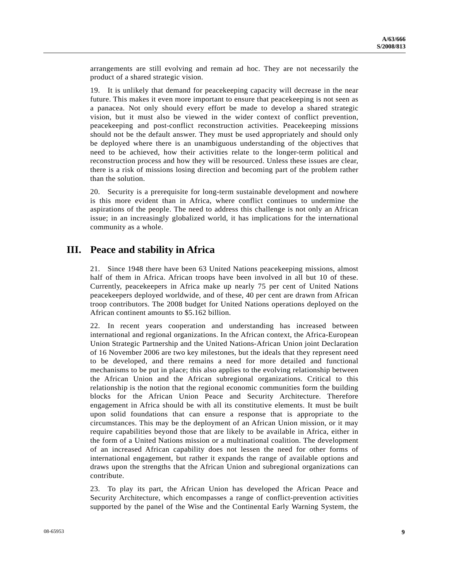arrangements are still evolving and remain ad hoc. They are not necessarily the product of a shared strategic vision.

19. It is unlikely that demand for peacekeeping capacity will decrease in the near future. This makes it even more important to ensure that peacekeeping is not seen as a panacea. Not only should every effort be made to develop a shared strategic vision, but it must also be viewed in the wider context of conflict prevention, peacekeeping and post-conflict reconstruction activities. Peacekeeping missions should not be the default answer. They must be used appropriately and should only be deployed where there is an unambiguous understanding of the objectives that need to be achieved, how their activities relate to the longer-term political and reconstruction process and how they will be resourced. Unless these issues are clear, there is a risk of missions losing direction and becoming part of the problem rather than the solution.

20. Security is a prerequisite for long-term sustainable development and nowhere is this more evident than in Africa, where conflict continues to undermine the aspirations of the people. The need to address this challenge is not only an African issue; in an increasingly globalized world, it has implications for the international community as a whole.

## **III. Peace and stability in Africa**

21. Since 1948 there have been 63 United Nations peacekeeping missions, almost half of them in Africa. African troops have been involved in all but 10 of these. Currently, peacekeepers in Africa make up nearly 75 per cent of United Nations peacekeepers deployed worldwide, and of these, 40 per cent are drawn from African troop contributors. The 2008 budget for United Nations operations deployed on the African continent amounts to \$5.162 billion.

22. In recent years cooperation and understanding has increased between international and regional organizations. In the African context, the Africa-European Union Strategic Partnership and the United Nations-African Union joint Declaration of 16 November 2006 are two key milestones, but the ideals that they represent need to be developed, and there remains a need for more detailed and functional mechanisms to be put in place; this also applies to the evolving relationship between the African Union and the African subregional organizations. Critical to this relationship is the notion that the regional economic communities form the building blocks for the African Union Peace and Security Architecture. Therefore engagement in Africa should be with all its constitutive elements. It must be built upon solid foundations that can ensure a response that is appropriate to the circumstances. This may be the deployment of an African Union mission, or it may require capabilities beyond those that are likely to be available in Africa, either in the form of a United Nations mission or a multinational coalition. The development of an increased African capability does not lessen the need for other forms of international engagement, but rather it expands the range of available options and draws upon the strengths that the African Union and subregional organizations can contribute.

23. To play its part, the African Union has developed the African Peace and Security Architecture, which encompasses a range of conflict-prevention activities supported by the panel of the Wise and the Continental Early Warning System, the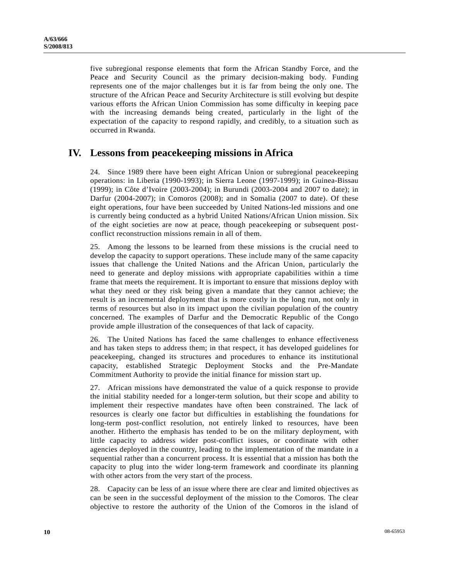five subregional response elements that form the African Standby Force, and the Peace and Security Council as the primary decision-making body. Funding represents one of the major challenges but it is far from being the only one. The structure of the African Peace and Security Architecture is still evolving but despite various efforts the African Union Commission has some difficulty in keeping pace with the increasing demands being created, particularly in the light of the expectation of the capacity to respond rapidly, and credibly, to a situation such as occurred in Rwanda.

## **IV. Lessons from peacekeeping missions in Africa**

24. Since 1989 there have been eight African Union or subregional peacekeeping operations: in Liberia (1990-1993); in Sierra Leone (1997-1999); in Guinea-Bissau (1999); in Côte d'Ivoire (2003-2004); in Burundi (2003-2004 and 2007 to date); in Darfur (2004-2007); in Comoros (2008); and in Somalia (2007 to date). Of these eight operations, four have been succeeded by United Nations-led missions and one is currently being conducted as a hybrid United Nations/African Union mission. Six of the eight societies are now at peace, though peacekeeping or subsequent postconflict reconstruction missions remain in all of them.

25. Among the lessons to be learned from these missions is the crucial need to develop the capacity to support operations. These include many of the same capacity issues that challenge the United Nations and the African Union, particularly the need to generate and deploy missions with appropriate capabilities within a time frame that meets the requirement. It is important to ensure that missions deploy with what they need or they risk being given a mandate that they cannot achieve; the result is an incremental deployment that is more costly in the long run, not only in terms of resources but also in its impact upon the civilian population of the country concerned. The examples of Darfur and the Democratic Republic of the Congo provide ample illustration of the consequences of that lack of capacity.

26. The United Nations has faced the same challenges to enhance effectiveness and has taken steps to address them; in that respect, it has developed guidelines for peacekeeping, changed its structures and procedures to enhance its institutional capacity, established Strategic Deployment Stocks and the Pre-Mandate Commitment Authority to provide the initial finance for mission start up.

27. African missions have demonstrated the value of a quick response to provide the initial stability needed for a longer-term solution, but their scope and ability to implement their respective mandates have often been constrained. The lack of resources is clearly one factor but difficulties in establishing the foundations for long-term post-conflict resolution, not entirely linked to resources, have been another. Hitherto the emphasis has tended to be on the military deployment, with little capacity to address wider post-conflict issues, or coordinate with other agencies deployed in the country, leading to the implementation of the mandate in a sequential rather than a concurrent process. It is essential that a mission has both the capacity to plug into the wider long-term framework and coordinate its planning with other actors from the very start of the process.

28. Capacity can be less of an issue where there are clear and limited objectives as can be seen in the successful deployment of the mission to the Comoros. The clear objective to restore the authority of the Union of the Comoros in the island of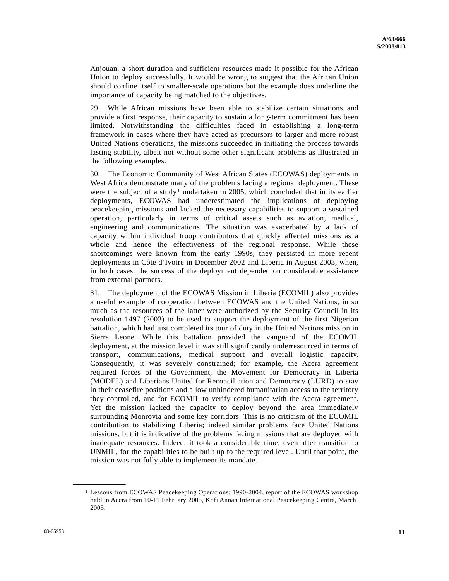Anjouan, a short duration and sufficient resources made it possible for the African Union to deploy successfully. It would be wrong to suggest that the African Union should confine itself to smaller-scale operations but the example does underline the importance of capacity being matched to the objectives.

29. While African missions have been able to stabilize certain situations and provide a first response, their capacity to sustain a long-term commitment has been limited. Notwithstanding the difficulties faced in establishing a long-term framework in cases where they have acted as precursors to larger and more robust United Nations operations, the missions succeeded in initiating the process towards lasting stability, albeit not without some other significant problems as illustrated in the following examples.

30. The Economic Community of West African States (ECOWAS) deployments in West Africa demonstrate many of the problems facing a regional deployment. These were the subject of a study<sup>1</sup> undertaken in 2005, which concluded that in its earlier deployments, ECOWAS had underestimated the implications of deploying peacekeeping missions and lacked the necessary capabilities to support a sustained operation, particularly in terms of critical assets such as aviation, medical, engineering and communications. The situation was exacerbated by a lack of capacity within individual troop contributors that quickly affected missions as a whole and hence the effectiveness of the regional response. While these shortcomings were known from the early 1990s, they persisted in more recent deployments in Côte d'Ivoire in December 2002 and Liberia in August 2003, when, in both cases, the success of the deployment depended on considerable assistance from external partners.

31. The deployment of the ECOWAS Mission in Liberia (ECOMIL) also provides a useful example of cooperation between ECOWAS and the United Nations, in so much as the resources of the latter were authorized by the Security Council in its resolution 1497 (2003) to be used to support the deployment of the first Nigerian battalion, which had just completed its tour of duty in the United Nations mission in Sierra Leone. While this battalion provided the vanguard of the ECOMIL deployment, at the mission level it was still significantly underresourced in terms of transport, communications, medical support and overall logistic capacity. Consequently, it was severely constrained; for example, the Accra agreement required forces of the Government, the Movement for Democracy in Liberia (MODEL) and Liberians United for Reconciliation and Democracy (LURD) to stay in their ceasefire positions and allow unhindered humanitarian access to the territory they controlled, and for ECOMIL to verify compliance with the Accra agreement. Yet the mission lacked the capacity to deploy beyond the area immediately surrounding Monrovia and some key corridors. This is no criticism of the ECOMIL contribution to stabilizing Liberia; indeed similar problems face United Nations missions, but it is indicative of the problems facing missions that are deployed with inadequate resources. Indeed, it took a considerable time, even after transition to UNMIL, for the capabilities to be built up to the required level. Until that point, the mission was not fully able to implement its mandate.

<span id="page-10-0"></span>**\_\_\_\_\_\_\_\_\_\_\_\_\_\_\_\_\_\_** 

<sup>1</sup> Lessons from ECOWAS Peacekeeping Operations: 1990-2004, report of the ECOWAS workshop held in Accra from 10-11 February 2005, Kofi Annan International Peacekeeping Centre, March 2005.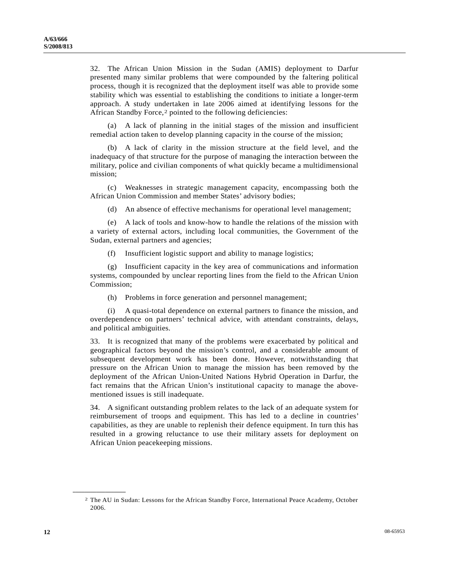32. The African Union Mission in the Sudan (AMIS) deployment to Darfur presented many similar problems that were compounded by the faltering political process, though it is recognized that the deployment itself was able to provide some stability which was essential to establishing the conditions to initiate a longer-term approach. A study undertaken in late 2006 aimed at identifying lessons for the African Standby Force,<sup>[2](#page-11-0)</sup> pointed to the following deficiencies:

 (a) A lack of planning in the initial stages of the mission and insufficient remedial action taken to develop planning capacity in the course of the mission;

 (b) A lack of clarity in the mission structure at the field level, and the inadequacy of that structure for the purpose of managing the interaction between the military, police and civilian components of what quickly became a multidimensional mission;

 (c) Weaknesses in strategic management capacity, encompassing both the African Union Commission and member States' advisory bodies;

(d) An absence of effective mechanisms for operational level management;

 (e) A lack of tools and know-how to handle the relations of the mission with a variety of external actors, including local communities, the Government of the Sudan, external partners and agencies;

(f) Insufficient logistic support and ability to manage logistics;

 (g) Insufficient capacity in the key area of communications and information systems, compounded by unclear reporting lines from the field to the African Union Commission;

(h) Problems in force generation and personnel management;

 (i) A quasi-total dependence on external partners to finance the mission, and overdependence on partners' technical advice, with attendant constraints, delays, and political ambiguities.

33. It is recognized that many of the problems were exacerbated by political and geographical factors beyond the mission's control, and a considerable amount of subsequent development work has been done. However, notwithstanding that pressure on the African Union to manage the mission has been removed by the deployment of the African Union-United Nations Hybrid Operation in Darfur, the fact remains that the African Union's institutional capacity to manage the abovementioned issues is still inadequate.

34. A significant outstanding problem relates to the lack of an adequate system for reimbursement of troops and equipment. This has led to a decline in countries' capabilities, as they are unable to replenish their defence equipment. In turn this has resulted in a growing reluctance to use their military assets for deployment on African Union peacekeeping missions.

<span id="page-11-0"></span>**\_\_\_\_\_\_\_\_\_\_\_\_\_\_\_\_\_\_** 

<sup>2</sup> The AU in Sudan: Lessons for the African Standby Force, International Peace Academy, October 2006.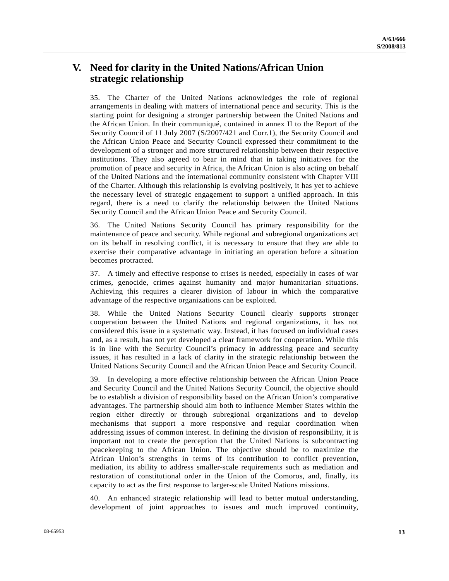# **V. Need for clarity in the United Nations/African Union strategic relationship**

35. The Charter of the United Nations acknowledges the role of regional arrangements in dealing with matters of international peace and security. This is the starting point for designing a stronger partnership between the United Nations and the African Union. In their communiqué, contained in annex II to the Report of the Security Council of 11 July 2007 (S/2007/421 and Corr.1), the Security Council and the African Union Peace and Security Council expressed their commitment to the development of a stronger and more structured relationship between their respective institutions. They also agreed to bear in mind that in taking initiatives for the promotion of peace and security in Africa, the African Union is also acting on behalf of the United Nations and the international community consistent with Chapter VIII of the Charter. Although this relationship is evolving positively, it has yet to achieve the necessary level of strategic engagement to support a unified approach. In this regard, there is a need to clarify the relationship between the United Nations Security Council and the African Union Peace and Security Council.

36. The United Nations Security Council has primary responsibility for the maintenance of peace and security. While regional and subregional organizations act on its behalf in resolving conflict, it is necessary to ensure that they are able to exercise their comparative advantage in initiating an operation before a situation becomes protracted.

37. A timely and effective response to crises is needed, especially in cases of war crimes, genocide, crimes against humanity and major humanitarian situations. Achieving this requires a clearer division of labour in which the comparative advantage of the respective organizations can be exploited.

38. While the United Nations Security Council clearly supports stronger cooperation between the United Nations and regional organizations, it has not considered this issue in a systematic way. Instead, it has focused on individual cases and, as a result, has not yet developed a clear framework for cooperation. While this is in line with the Security Council's primacy in addressing peace and security issues, it has resulted in a lack of clarity in the strategic relationship between the United Nations Security Council and the African Union Peace and Security Council.

39. In developing a more effective relationship between the African Union Peace and Security Council and the United Nations Security Council, the objective should be to establish a division of responsibility based on the African Union's comparative advantages. The partnership should aim both to influence Member States within the region either directly or through subregional organizations and to develop mechanisms that support a more responsive and regular coordination when addressing issues of common interest. In defining the division of responsibility, it is important not to create the perception that the United Nations is subcontracting peacekeeping to the African Union. The objective should be to maximize the African Union's strengths in terms of its contribution to conflict prevention, mediation, its ability to address smaller-scale requirements such as mediation and restoration of constitutional order in the Union of the Comoros, and, finally, its capacity to act as the first response to larger-scale United Nations missions.

40. An enhanced strategic relationship will lead to better mutual understanding, development of joint approaches to issues and much improved continuity,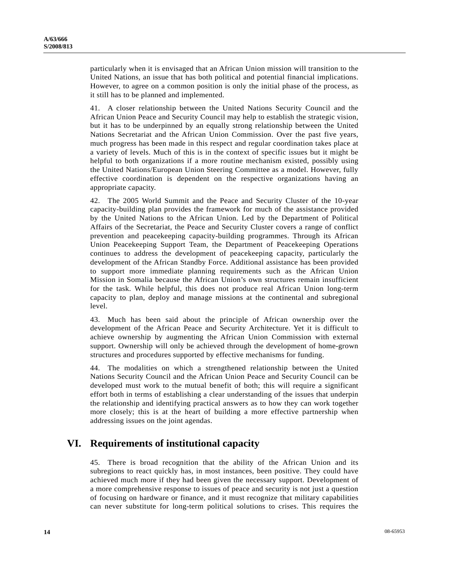particularly when it is envisaged that an African Union mission will transition to the United Nations, an issue that has both political and potential financial implications. However, to agree on a common position is only the initial phase of the process, as it still has to be planned and implemented.

41. A closer relationship between the United Nations Security Council and the African Union Peace and Security Council may help to establish the strategic vision, but it has to be underpinned by an equally strong relationship between the United Nations Secretariat and the African Union Commission. Over the past five years, much progress has been made in this respect and regular coordination takes place at a variety of levels. Much of this is in the context of specific issues but it might be helpful to both organizations if a more routine mechanism existed, possibly using the United Nations/European Union Steering Committee as a model. However, fully effective coordination is dependent on the respective organizations having an appropriate capacity.

42. The 2005 World Summit and the Peace and Security Cluster of the 10-year capacity-building plan provides the framework for much of the assistance provided by the United Nations to the African Union. Led by the Department of Political Affairs of the Secretariat, the Peace and Security Cluster covers a range of conflict prevention and peacekeeping capacity-building programmes. Through its African Union Peacekeeping Support Team, the Department of Peacekeeping Operations continues to address the development of peacekeeping capacity, particularly the development of the African Standby Force. Additional assistance has been provided to support more immediate planning requirements such as the African Union Mission in Somalia because the African Union's own structures remain insufficient for the task. While helpful, this does not produce real African Union long-term capacity to plan, deploy and manage missions at the continental and subregional level.

43. Much has been said about the principle of African ownership over the development of the African Peace and Security Architecture. Yet it is difficult to achieve ownership by augmenting the African Union Commission with external support. Ownership will only be achieved through the development of home-grown structures and procedures supported by effective mechanisms for funding.

44. The modalities on which a strengthened relationship between the United Nations Security Council and the African Union Peace and Security Council can be developed must work to the mutual benefit of both; this will require a significant effort both in terms of establishing a clear understanding of the issues that underpin the relationship and identifying practical answers as to how they can work together more closely; this is at the heart of building a more effective partnership when addressing issues on the joint agendas.

# **VI. Requirements of institutional capacity**

45. There is broad recognition that the ability of the African Union and its subregions to react quickly has, in most instances, been positive. They could have achieved much more if they had been given the necessary support. Development of a more comprehensive response to issues of peace and security is not just a question of focusing on hardware or finance, and it must recognize that military capabilities can never substitute for long-term political solutions to crises. This requires the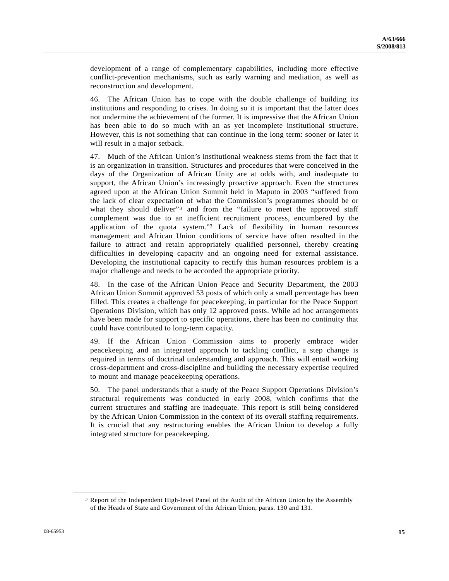<span id="page-14-1"></span>development of a range of complementary capabilities, including more effective conflict-prevention mechanisms, such as early warning and mediation, as well as reconstruction and development.

46. The African Union has to cope with the double challenge of building its institutions and responding to crises. In doing so it is important that the latter does not undermine the achievement of the former. It is impressive that the African Union has been able to do so much with an as yet incomplete institutional structure. However, this is not something that can continue in the long term: sooner or later it will result in a major setback.

47. Much of the African Union's institutional weakness stems from the fact that it is an organization in transition. Structures and procedures that were conceived in the days of the Organization of African Unity are at odds with, and inadequate to support, the African Union's increasingly proactive approach. Even the structures agreed upon at the African Union Summit held in Maputo in 2003 "suffered from the lack of clear expectation of what the Commission's programmes should be or what they should deliver"<sup>[3](#page-14-0)</sup> and from the "failure to meet the approved staff complement was due to an inefficient recruitment process, encumbered by the application of the quota system.["3](#page-14-1) Lack of flexibility in human resources management and African Union conditions of service have often resulted in the failure to attract and retain appropriately qualified personnel, thereby creating difficulties in developing capacity and an ongoing need for external assistance. Developing the institutional capacity to rectify this human resources problem is a major challenge and needs to be accorded the appropriate priority.

48. In the case of the African Union Peace and Security Department, the 2003 African Union Summit approved 53 posts of which only a small percentage has been filled. This creates a challenge for peacekeeping, in particular for the Peace Support Operations Division, which has only 12 approved posts. While ad hoc arrangements have been made for support to specific operations, there has been no continuity that could have contributed to long-term capacity.

49. If the African Union Commission aims to properly embrace wider peacekeeping and an integrated approach to tackling conflict, a step change is required in terms of doctrinal understanding and approach. This will entail working cross-department and cross-discipline and building the necessary expertise required to mount and manage peacekeeping operations.

50. The panel understands that a study of the Peace Support Operations Division's structural requirements was conducted in early 2008, which confirms that the current structures and staffing are inadequate. This report is still being considered by the African Union Commission in the context of its overall staffing requirements. It is crucial that any restructuring enables the African Union to develop a fully integrated structure for peacekeeping.

<span id="page-14-0"></span>**\_\_\_\_\_\_\_\_\_\_\_\_\_\_\_\_\_\_** 

<sup>3</sup> Report of the Independent High-level Panel of the Audit of the African Union by the Assembly of the Heads of State and Government of the African Union, paras. 130 and 131.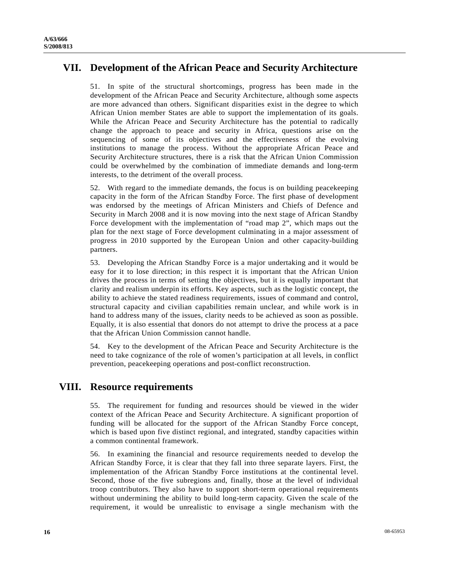# **VII. Development of the African Peace and Security Architecture**

51. In spite of the structural shortcomings, progress has been made in the development of the African Peace and Security Architecture, although some aspects are more advanced than others. Significant disparities exist in the degree to which African Union member States are able to support the implementation of its goals. While the African Peace and Security Architecture has the potential to radically change the approach to peace and security in Africa, questions arise on the sequencing of some of its objectives and the effectiveness of the evolving institutions to manage the process. Without the appropriate African Peace and Security Architecture structures, there is a risk that the African Union Commission could be overwhelmed by the combination of immediate demands and long-term interests, to the detriment of the overall process.

52. With regard to the immediate demands, the focus is on building peacekeeping capacity in the form of the African Standby Force. The first phase of development was endorsed by the meetings of African Ministers and Chiefs of Defence and Security in March 2008 and it is now moving into the next stage of African Standby Force development with the implementation of "road map 2", which maps out the plan for the next stage of Force development culminating in a major assessment of progress in 2010 supported by the European Union and other capacity-building partners.

53. Developing the African Standby Force is a major undertaking and it would be easy for it to lose direction; in this respect it is important that the African Union drives the process in terms of setting the objectives, but it is equally important that clarity and realism underpin its efforts. Key aspects, such as the logistic concept, the ability to achieve the stated readiness requirements, issues of command and control, structural capacity and civilian capabilities remain unclear, and while work is in hand to address many of the issues, clarity needs to be achieved as soon as possible. Equally, it is also essential that donors do not attempt to drive the process at a pace that the African Union Commission cannot handle.

54. Key to the development of the African Peace and Security Architecture is the need to take cognizance of the role of women's participation at all levels, in conflict prevention, peacekeeping operations and post-conflict reconstruction.

# **VIII. Resource requirements**

55. The requirement for funding and resources should be viewed in the wider context of the African Peace and Security Architecture. A significant proportion of funding will be allocated for the support of the African Standby Force concept, which is based upon five distinct regional, and integrated, standby capacities within a common continental framework.

56. In examining the financial and resource requirements needed to develop the African Standby Force, it is clear that they fall into three separate layers. First, the implementation of the African Standby Force institutions at the continental level. Second, those of the five subregions and, finally, those at the level of individual troop contributors. They also have to support short-term operational requirements without undermining the ability to build long-term capacity. Given the scale of the requirement, it would be unrealistic to envisage a single mechanism with the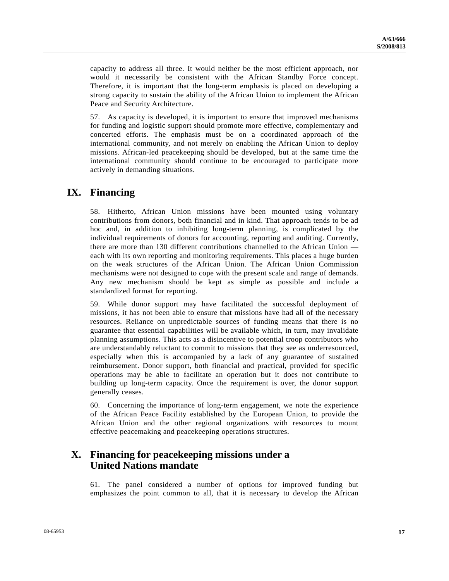capacity to address all three. It would neither be the most efficient approach, nor would it necessarily be consistent with the African Standby Force concept. Therefore, it is important that the long-term emphasis is placed on developing a strong capacity to sustain the ability of the African Union to implement the African Peace and Security Architecture.

57. As capacity is developed, it is important to ensure that improved mechanisms for funding and logistic support should promote more effective, complementary and concerted efforts. The emphasis must be on a coordinated approach of the international community, and not merely on enabling the African Union to deploy missions. African-led peacekeeping should be developed, but at the same time the international community should continue to be encouraged to participate more actively in demanding situations.

# **IX. Financing**

58. Hitherto, African Union missions have been mounted using voluntary contributions from donors, both financial and in kind. That approach tends to be ad hoc and, in addition to inhibiting long-term planning, is complicated by the individual requirements of donors for accounting, reporting and auditing. Currently, there are more than 130 different contributions channelled to the African Union each with its own reporting and monitoring requirements. This places a huge burden on the weak structures of the African Union. The African Union Commission mechanisms were not designed to cope with the present scale and range of demands. Any new mechanism should be kept as simple as possible and include a standardized format for reporting.

59. While donor support may have facilitated the successful deployment of missions, it has not been able to ensure that missions have had all of the necessary resources. Reliance on unpredictable sources of funding means that there is no guarantee that essential capabilities will be available which, in turn, may invalidate planning assumptions. This acts as a disincentive to potential troop contributors who are understandably reluctant to commit to missions that they see as underresourced, especially when this is accompanied by a lack of any guarantee of sustained reimbursement. Donor support, both financial and practical, provided for specific operations may be able to facilitate an operation but it does not contribute to building up long-term capacity. Once the requirement is over, the donor support generally ceases.

60. Concerning the importance of long-term engagement, we note the experience of the African Peace Facility established by the European Union, to provide the African Union and the other regional organizations with resources to mount effective peacemaking and peacekeeping operations structures.

# **X. Financing for peacekeeping missions under a United Nations mandate**

61. The panel considered a number of options for improved funding but emphasizes the point common to all, that it is necessary to develop the African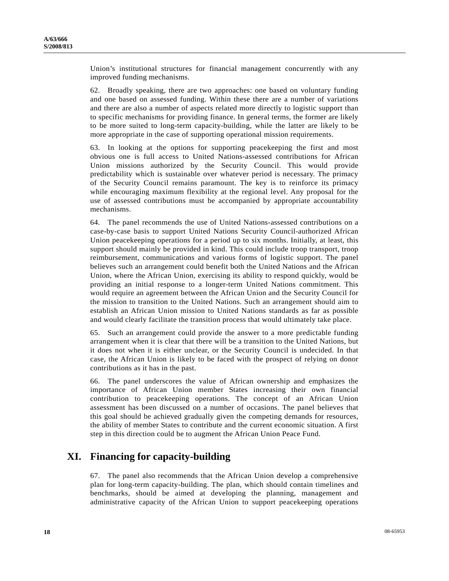Union's institutional structures for financial management concurrently with any improved funding mechanisms.

62. Broadly speaking, there are two approaches: one based on voluntary funding and one based on assessed funding. Within these there are a number of variations and there are also a number of aspects related more directly to logistic support than to specific mechanisms for providing finance. In general terms, the former are likely to be more suited to long-term capacity-building, while the latter are likely to be more appropriate in the case of supporting operational mission requirements.

63. In looking at the options for supporting peacekeeping the first and most obvious one is full access to United Nations-assessed contributions for African Union missions authorized by the Security Council. This would provide predictability which is sustainable over whatever period is necessary. The primacy of the Security Council remains paramount. The key is to reinforce its primacy while encouraging maximum flexibility at the regional level. Any proposal for the use of assessed contributions must be accompanied by appropriate accountability mechanisms.

64. The panel recommends the use of United Nations-assessed contributions on a case-by-case basis to support United Nations Security Council-authorized African Union peacekeeping operations for a period up to six months. Initially, at least, this support should mainly be provided in kind. This could include troop transport, troop reimbursement, communications and various forms of logistic support. The panel believes such an arrangement could benefit both the United Nations and the African Union, where the African Union, exercising its ability to respond quickly, would be providing an initial response to a longer-term United Nations commitment. This would require an agreement between the African Union and the Security Council for the mission to transition to the United Nations. Such an arrangement should aim to establish an African Union mission to United Nations standards as far as possible and would clearly facilitate the transition process that would ultimately take place.

65. Such an arrangement could provide the answer to a more predictable funding arrangement when it is clear that there will be a transition to the United Nations, but it does not when it is either unclear, or the Security Council is undecided. In that case, the African Union is likely to be faced with the prospect of relying on donor contributions as it has in the past.

66. The panel underscores the value of African ownership and emphasizes the importance of African Union member States increasing their own financial contribution to peacekeeping operations. The concept of an African Union assessment has been discussed on a number of occasions. The panel believes that this goal should be achieved gradually given the competing demands for resources, the ability of member States to contribute and the current economic situation. A first step in this direction could be to augment the African Union Peace Fund.

# **XI. Financing for capacity-building**

67. The panel also recommends that the African Union develop a comprehensive plan for long-term capacity-building. The plan, which should contain timelines and benchmarks, should be aimed at developing the planning, management and administrative capacity of the African Union to support peacekeeping operations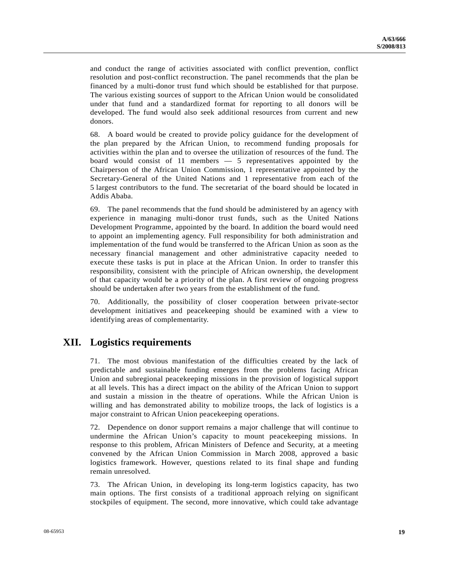and conduct the range of activities associated with conflict prevention, conflict resolution and post-conflict reconstruction. The panel recommends that the plan be financed by a multi-donor trust fund which should be established for that purpose. The various existing sources of support to the African Union would be consolidated under that fund and a standardized format for reporting to all donors will be developed. The fund would also seek additional resources from current and new donors.

68. A board would be created to provide policy guidance for the development of the plan prepared by the African Union, to recommend funding proposals for activities within the plan and to oversee the utilization of resources of the fund. The board would consist of 11 members — 5 representatives appointed by the Chairperson of the African Union Commission, 1 representative appointed by the Secretary-General of the United Nations and 1 representative from each of the 5 largest contributors to the fund. The secretariat of the board should be located in Addis Ababa.

69. The panel recommends that the fund should be administered by an agency with experience in managing multi-donor trust funds, such as the United Nations Development Programme, appointed by the board. In addition the board would need to appoint an implementing agency. Full responsibility for both administration and implementation of the fund would be transferred to the African Union as soon as the necessary financial management and other administrative capacity needed to execute these tasks is put in place at the African Union. In order to transfer this responsibility, consistent with the principle of African ownership, the development of that capacity would be a priority of the plan. A first review of ongoing progress should be undertaken after two years from the establishment of the fund.

70. Additionally, the possibility of closer cooperation between private-sector development initiatives and peacekeeping should be examined with a view to identifying areas of complementarity.

# **XII. Logistics requirements**

71. The most obvious manifestation of the difficulties created by the lack of predictable and sustainable funding emerges from the problems facing African Union and subregional peacekeeping missions in the provision of logistical support at all levels. This has a direct impact on the ability of the African Union to support and sustain a mission in the theatre of operations. While the African Union is willing and has demonstrated ability to mobilize troops, the lack of logistics is a major constraint to African Union peacekeeping operations.

72. Dependence on donor support remains a major challenge that will continue to undermine the African Union's capacity to mount peacekeeping missions. In response to this problem, African Ministers of Defence and Security, at a meeting convened by the African Union Commission in March 2008, approved a basic logistics framework. However, questions related to its final shape and funding remain unresolved.

73. The African Union, in developing its long-term logistics capacity, has two main options. The first consists of a traditional approach relying on significant stockpiles of equipment. The second, more innovative, which could take advantage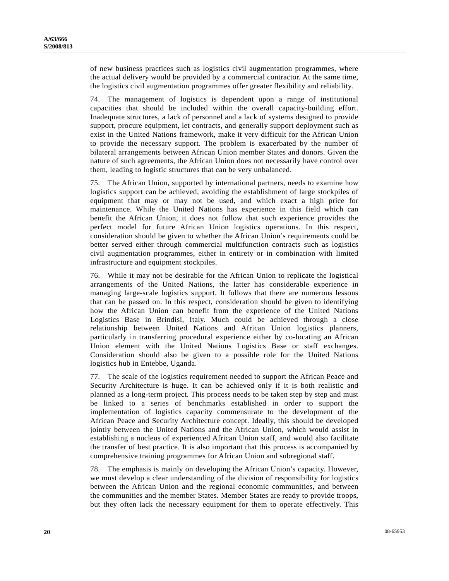of new business practices such as logistics civil augmentation programmes, where the actual delivery would be provided by a commercial contractor. At the same time, the logistics civil augmentation programmes offer greater flexibility and reliability.

74. The management of logistics is dependent upon a range of institutional capacities that should be included within the overall capacity-building effort. Inadequate structures, a lack of personnel and a lack of systems designed to provide support, procure equipment, let contracts, and generally support deployment such as exist in the United Nations framework, make it very difficult for the African Union to provide the necessary support. The problem is exacerbated by the number of bilateral arrangements between African Union member States and donors. Given the nature of such agreements, the African Union does not necessarily have control over them, leading to logistic structures that can be very unbalanced.

75. The African Union, supported by international partners, needs to examine how logistics support can be achieved, avoiding the establishment of large stockpiles of equipment that may or may not be used, and which exact a high price for maintenance. While the United Nations has experience in this field which can benefit the African Union, it does not follow that such experience provides the perfect model for future African Union logistics operations. In this respect, consideration should be given to whether the African Union's requirements could be better served either through commercial multifunction contracts such as logistics civil augmentation programmes, either in entirety or in combination with limited infrastructure and equipment stockpiles.

76. While it may not be desirable for the African Union to replicate the logistical arrangements of the United Nations, the latter has considerable experience in managing large-scale logistics support. It follows that there are numerous lessons that can be passed on. In this respect, consideration should be given to identifying how the African Union can benefit from the experience of the United Nations Logistics Base in Brindisi, Italy. Much could be achieved through a close relationship between United Nations and African Union logistics planners, particularly in transferring procedural experience either by co-locating an African Union element with the United Nations Logistics Base or staff exchanges. Consideration should also be given to a possible role for the United Nations logistics hub in Entebbe, Uganda.

77. The scale of the logistics requirement needed to support the African Peace and Security Architecture is huge. It can be achieved only if it is both realistic and planned as a long-term project. This process needs to be taken step by step and must be linked to a series of benchmarks established in order to support the implementation of logistics capacity commensurate to the development of the African Peace and Security Architecture concept. Ideally, this should be developed jointly between the United Nations and the African Union, which would assist in establishing a nucleus of experienced African Union staff, and would also facilitate the transfer of best practice. It is also important that this process is accompanied by comprehensive training programmes for African Union and subregional staff.

78. The emphasis is mainly on developing the African Union's capacity. However, we must develop a clear understanding of the division of responsibility for logistics between the African Union and the regional economic communities, and between the communities and the member States. Member States are ready to provide troops, but they often lack the necessary equipment for them to operate effectively. This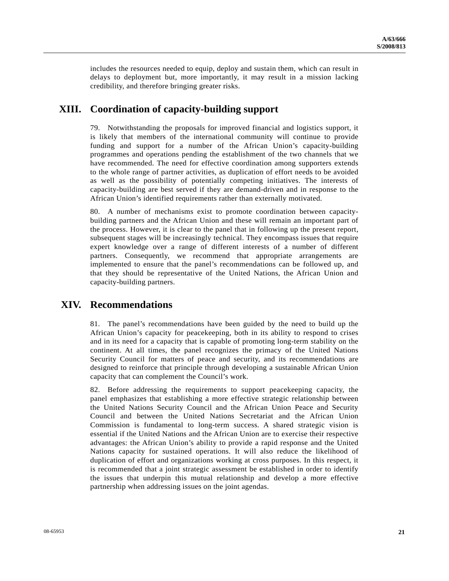includes the resources needed to equip, deploy and sustain them, which can result in delays to deployment but, more importantly, it may result in a mission lacking credibility, and therefore bringing greater risks.

# **XIII. Coordination of capacity-building support**

79. Notwithstanding the proposals for improved financial and logistics support, it is likely that members of the international community will continue to provide funding and support for a number of the African Union's capacity-building programmes and operations pending the establishment of the two channels that we have recommended. The need for effective coordination among supporters extends to the whole range of partner activities, as duplication of effort needs to be avoided as well as the possibility of potentially competing initiatives. The interests of capacity-building are best served if they are demand-driven and in response to the African Union's identified requirements rather than externally motivated.

80. A number of mechanisms exist to promote coordination between capacitybuilding partners and the African Union and these will remain an important part of the process. However, it is clear to the panel that in following up the present report, subsequent stages will be increasingly technical. They encompass issues that require expert knowledge over a range of different interests of a number of different partners. Consequently, we recommend that appropriate arrangements are implemented to ensure that the panel's recommendations can be followed up, and that they should be representative of the United Nations, the African Union and capacity-building partners.

# **XIV. Recommendations**

81. The panel's recommendations have been guided by the need to build up the African Union's capacity for peacekeeping, both in its ability to respond to crises and in its need for a capacity that is capable of promoting long-term stability on the continent. At all times, the panel recognizes the primacy of the United Nations Security Council for matters of peace and security, and its recommendations are designed to reinforce that principle through developing a sustainable African Union capacity that can complement the Council's work.

82. Before addressing the requirements to support peacekeeping capacity, the panel emphasizes that establishing a more effective strategic relationship between the United Nations Security Council and the African Union Peace and Security Council and between the United Nations Secretariat and the African Union Commission is fundamental to long-term success. A shared strategic vision is essential if the United Nations and the African Union are to exercise their respective advantages: the African Union's ability to provide a rapid response and the United Nations capacity for sustained operations. It will also reduce the likelihood of duplication of effort and organizations working at cross purposes. In this respect, it is recommended that a joint strategic assessment be established in order to identify the issues that underpin this mutual relationship and develop a more effective partnership when addressing issues on the joint agendas.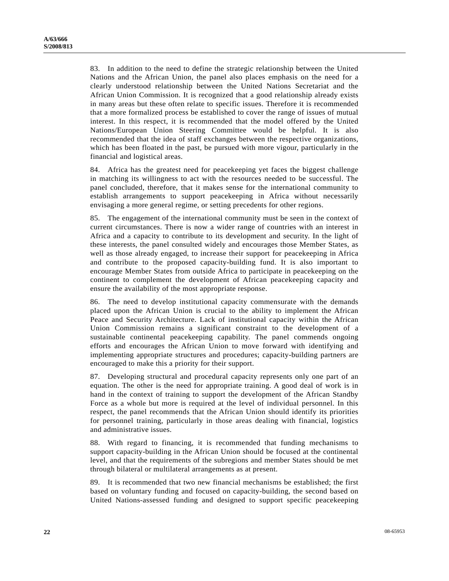83. In addition to the need to define the strategic relationship between the United Nations and the African Union, the panel also places emphasis on the need for a clearly understood relationship between the United Nations Secretariat and the African Union Commission. It is recognized that a good relationship already exists in many areas but these often relate to specific issues. Therefore it is recommended that a more formalized process be established to cover the range of issues of mutual interest. In this respect, it is recommended that the model offered by the United Nations/European Union Steering Committee would be helpful. It is also recommended that the idea of staff exchanges between the respective organizations, which has been floated in the past, be pursued with more vigour, particularly in the financial and logistical areas.

84. Africa has the greatest need for peacekeeping yet faces the biggest challenge in matching its willingness to act with the resources needed to be successful. The panel concluded, therefore, that it makes sense for the international community to establish arrangements to support peacekeeping in Africa without necessarily envisaging a more general regime, or setting precedents for other regions.

85. The engagement of the international community must be seen in the context of current circumstances. There is now a wider range of countries with an interest in Africa and a capacity to contribute to its development and security. In the light of these interests, the panel consulted widely and encourages those Member States, as well as those already engaged, to increase their support for peacekeeping in Africa and contribute to the proposed capacity-building fund. It is also important to encourage Member States from outside Africa to participate in peacekeeping on the continent to complement the development of African peacekeeping capacity and ensure the availability of the most appropriate response.

86. The need to develop institutional capacity commensurate with the demands placed upon the African Union is crucial to the ability to implement the African Peace and Security Architecture. Lack of institutional capacity within the African Union Commission remains a significant constraint to the development of a sustainable continental peacekeeping capability. The panel commends ongoing efforts and encourages the African Union to move forward with identifying and implementing appropriate structures and procedures; capacity-building partners are encouraged to make this a priority for their support.

87. Developing structural and procedural capacity represents only one part of an equation. The other is the need for appropriate training. A good deal of work is in hand in the context of training to support the development of the African Standby Force as a whole but more is required at the level of individual personnel. In this respect, the panel recommends that the African Union should identify its priorities for personnel training, particularly in those areas dealing with financial, logistics and administrative issues.

88. With regard to financing, it is recommended that funding mechanisms to support capacity-building in the African Union should be focused at the continental level, and that the requirements of the subregions and member States should be met through bilateral or multilateral arrangements as at present.

89. It is recommended that two new financial mechanisms be established; the first based on voluntary funding and focused on capacity-building, the second based on United Nations-assessed funding and designed to support specific peacekeeping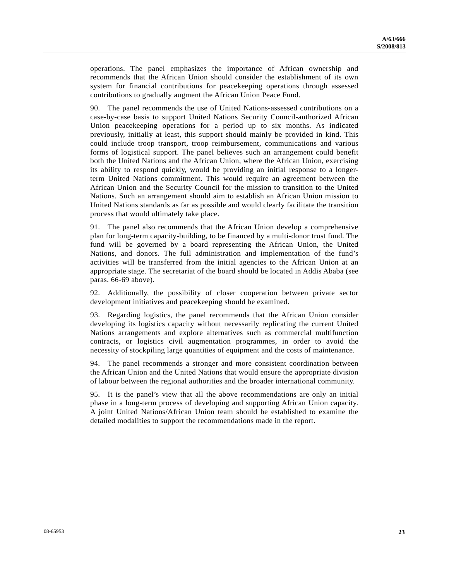operations. The panel emphasizes the importance of African ownership and recommends that the African Union should consider the establishment of its own system for financial contributions for peacekeeping operations through assessed contributions to gradually augment the African Union Peace Fund.

90. The panel recommends the use of United Nations-assessed contributions on a case-by-case basis to support United Nations Security Council-authorized African Union peacekeeping operations for a period up to six months. As indicated previously, initially at least, this support should mainly be provided in kind. This could include troop transport, troop reimbursement, communications and various forms of logistical support. The panel believes such an arrangement could benefit both the United Nations and the African Union, where the African Union, exercising its ability to respond quickly, would be providing an initial response to a longerterm United Nations commitment. This would require an agreement between the African Union and the Security Council for the mission to transition to the United Nations. Such an arrangement should aim to establish an African Union mission to United Nations standards as far as possible and would clearly facilitate the transition process that would ultimately take place.

91. The panel also recommends that the African Union develop a comprehensive plan for long-term capacity-building, to be financed by a multi-donor trust fund. The fund will be governed by a board representing the African Union, the United Nations, and donors. The full administration and implementation of the fund's activities will be transferred from the initial agencies to the African Union at an appropriate stage. The secretariat of the board should be located in Addis Ababa (see paras. 66-69 above).

92. Additionally, the possibility of closer cooperation between private sector development initiatives and peacekeeping should be examined.

93. Regarding logistics, the panel recommends that the African Union consider developing its logistics capacity without necessarily replicating the current United Nations arrangements and explore alternatives such as commercial multifunction contracts, or logistics civil augmentation programmes, in order to avoid the necessity of stockpiling large quantities of equipment and the costs of maintenance.

94. The panel recommends a stronger and more consistent coordination between the African Union and the United Nations that would ensure the appropriate division of labour between the regional authorities and the broader international community.

95. It is the panel's view that all the above recommendations are only an initial phase in a long-term process of developing and supporting African Union capacity. A joint United Nations/African Union team should be established to examine the detailed modalities to support the recommendations made in the report.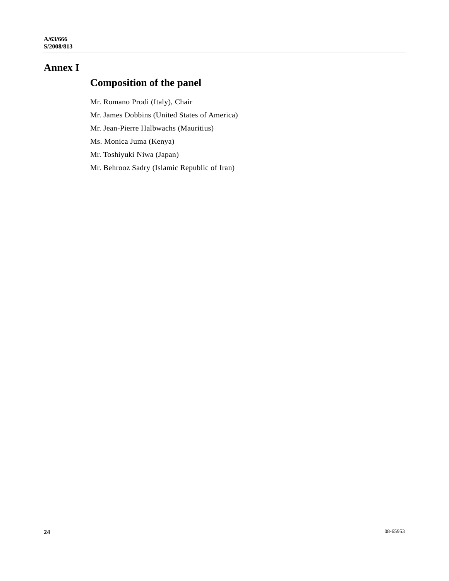# **Annex I**

# **Composition of the panel**

Mr. Romano Prodi (Italy), Chair

Mr. James Dobbins (United States of America)

Mr. Jean-Pierre Halbwachs (Mauritius)

Ms. Monica Juma (Kenya)

Mr. Toshiyuki Niwa (Japan)

Mr. Behrooz Sadry (Islamic Republic of Iran)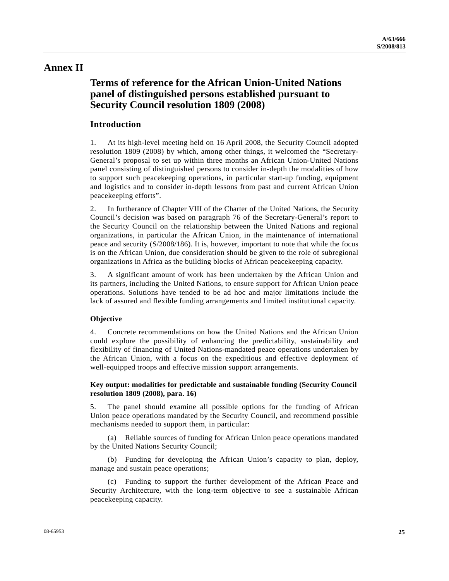### **Annex II**

# **Terms of reference for the African Union-United Nations panel of distinguished persons established pursuant to Security Council resolution 1809 (2008)**

### **Introduction**

1. At its high-level meeting held on 16 April 2008, the Security Council adopted resolution 1809 (2008) by which, among other things, it welcomed the "Secretary-General's proposal to set up within three months an African Union-United Nations panel consisting of distinguished persons to consider in-depth the modalities of how to support such peacekeeping operations, in particular start-up funding, equipment and logistics and to consider in-depth lessons from past and current African Union peacekeeping efforts".

2. In furtherance of Chapter VIII of the Charter of the United Nations, the Security Council's decision was based on paragraph 76 of the Secretary-General's report to the Security Council on the relationship between the United Nations and regional organizations, in particular the African Union, in the maintenance of international peace and security (S/2008/186). It is, however, important to note that while the focus is on the African Union, due consideration should be given to the role of subregional organizations in Africa as the building blocks of African peacekeeping capacity.

3. A significant amount of work has been undertaken by the African Union and its partners, including the United Nations, to ensure support for African Union peace operations. Solutions have tended to be ad hoc and major limitations include the lack of assured and flexible funding arrangements and limited institutional capacity.

### **Objective**

4. Concrete recommendations on how the United Nations and the African Union could explore the possibility of enhancing the predictability, sustainability and flexibility of financing of United Nations-mandated peace operations undertaken by the African Union, with a focus on the expeditious and effective deployment of well-equipped troops and effective mission support arrangements.

#### **Key output: modalities for predictable and sustainable funding (Security Council resolution 1809 (2008), para. 16)**

5. The panel should examine all possible options for the funding of African Union peace operations mandated by the Security Council, and recommend possible mechanisms needed to support them, in particular:

 (a) Reliable sources of funding for African Union peace operations mandated by the United Nations Security Council;

 (b) Funding for developing the African Union's capacity to plan, deploy, manage and sustain peace operations;

 (c) Funding to support the further development of the African Peace and Security Architecture, with the long-term objective to see a sustainable African peacekeeping capacity.